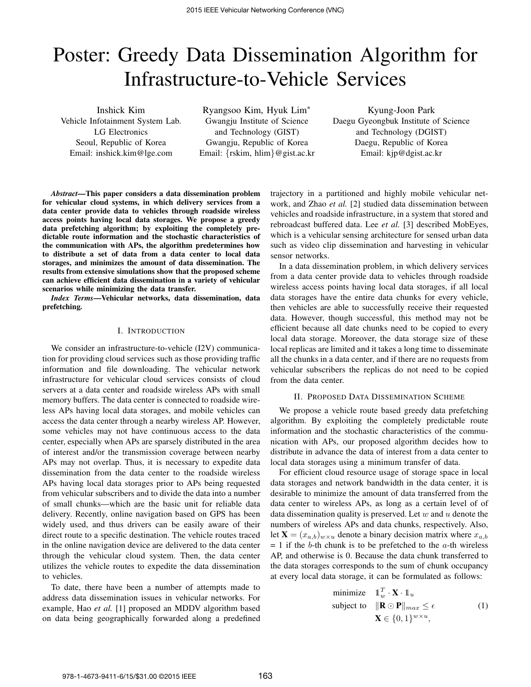# Poster: Greedy Data Dissemination Algorithm for Infrastructure-to-Vehicle Services

Inshick Kim Vehicle Infotainment System Lab. LG Electronics Seoul, Republic of Korea Email: inshick.kim@lge.com

Ryangsoo Kim, Hyuk Lim<sup>∗</sup> Gwangju Institute of Science and Technology (GIST) Gwangju, Republic of Korea Email: {rskim, hlim}@gist.ac.kr

Kyung-Joon Park Daegu Gyeongbuk Institute of Science and Technology (DGIST) Daegu, Republic of Korea Email: kjp@dgist.ac.kr

*Abstract***—This paper considers a data dissemination problem for vehicular cloud systems, in which delivery services from a data center provide data to vehicles through roadside wireless access points having local data storages. We propose a greedy data prefetching algorithm; by exploiting the completely predictable route information and the stochastic characteristics of the communication with APs, the algorithm predetermines how to distribute a set of data from a data center to local data storages, and minimizes the amount of data dissemination. The results from extensive simulations show that the proposed scheme can achieve efficient data dissemination in a variety of vehicular scenarios while minimizing the data transfer.**

*Index Terms***—Vehicular networks, data dissemination, data prefetching.**

### I. INTRODUCTION

We consider an infrastructure-to-vehicle (I2V) communication for providing cloud services such as those providing traffic information and file downloading. The vehicular network infrastructure for vehicular cloud services consists of cloud servers at a data center and roadside wireless APs with small memory buffers. The data center is connected to roadside wireless APs having local data storages, and mobile vehicles can access the data center through a nearby wireless AP. However, some vehicles may not have continuous access to the data center, especially when APs are sparsely distributed in the area of interest and/or the transmission coverage between nearby APs may not overlap. Thus, it is necessary to expedite data dissemination from the data center to the roadside wireless APs having local data storages prior to APs being requested from vehicular subscribers and to divide the data into a number of small chunks—which are the basic unit for reliable data delivery. Recently, online navigation based on GPS has been widely used, and thus drivers can be easily aware of their direct route to a specific destination. The vehicle routes traced in the online navigation device are delivered to the data center through the vehicular cloud system. Then, the data center utilizes the vehicle routes to expedite the data dissemination to vehicles.

To date, there have been a number of attempts made to address data dissemination issues in vehicular networks. For example, Hao *et al.* [1] proposed an MDDV algorithm based on data being geographically forwarded along a predefined trajectory in a partitioned and highly mobile vehicular network, and Zhao *et al.* [2] studied data dissemination between vehicles and roadside infrastructure, in a system that stored and rebroadcast buffered data. Lee *et al.* [3] described MobEyes, which is a vehicular sensing architecture for sensed urban data such as video clip dissemination and harvesting in vehicular sensor networks.

In a data dissemination problem, in which delivery services from a data center provide data to vehicles through roadside wireless access points having local data storages, if all local data storages have the entire data chunks for every vehicle, then vehicles are able to successfully receive their requested data. However, though successful, this method may not be efficient because all date chunks need to be copied to every local data storage. Moreover, the data storage size of these local replicas are limited and it takes a long time to disseminate all the chunks in a data center, and if there are no requests from vehicular subscribers the replicas do not need to be copied from the data center.

## II. PROPOSED DATA DISSEMINATION SCHEME

We propose a vehicle route based greedy data prefetching algorithm. By exploiting the completely predictable route information and the stochastic characteristics of the communication with APs, our proposed algorithm decides how to distribute in advance the data of interest from a data center to local data storages using a minimum transfer of data.

For efficient cloud resource usage of storage space in local data storages and network bandwidth in the data center, it is desirable to minimize the amount of data transferred from the data center to wireless APs, as long as a certain level of of data dissemination quality is preserved. Let  $w$  and  $u$  denote the numbers of wireless APs and data chunks, respectively. Also, let  $\mathbf{X} = (x_{a,b})_{w \times w}$  denote a binary decision matrix where  $x_{a,b}$  $= 1$  if the b-th chunk is to be prefetched to the a-th wireless AP, and otherwise is 0. Because the data chunk transferred to the data storages corresponds to the sum of chunk occupancy at every local data storage, it can be formulated as follows:

minimize 
$$
\mathbf{1}_w^T \cdot \mathbf{X} \cdot \mathbf{1}_u
$$
  
\nsubject to  $\|\mathbf{R} \odot \mathbf{P}\|_{max} \le \epsilon$  (1)  
\n $\mathbf{X} \in \{0, 1\}^{w \times u}$ ,